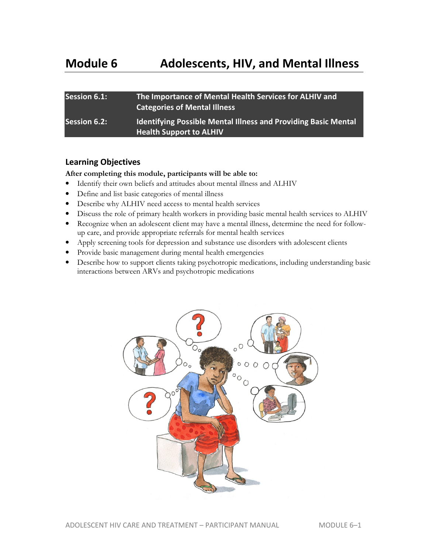| <b>Session 6.1:</b> | The Importance of Mental Health Services for ALHIV and<br><b>Categories of Mental Illness</b>           |
|---------------------|---------------------------------------------------------------------------------------------------------|
| <b>Session 6.2:</b> | <b>Identifying Possible Mental Illness and Providing Basic Mental</b><br><b>Health Support to ALHIV</b> |

#### **Learning Objectives**

#### **After completing this module, participants will be able to:**

- Identify their own beliefs and attitudes about mental illness and ALHIV
- Define and list basic categories of mental illness
- Describe why ALHIV need access to mental health services
- Discuss the role of primary health workers in providing basic mental health services to ALHIV
- Recognize when an adolescent client may have a mental illness, determine the need for followup care, and provide appropriate referrals for mental health services
- Apply screening tools for depression and substance use disorders with adolescent clients
- Provide basic management during mental health emergencies
- Describe how to support clients taking psychotropic medications, including understanding basic interactions between ARVs and psychotropic medications

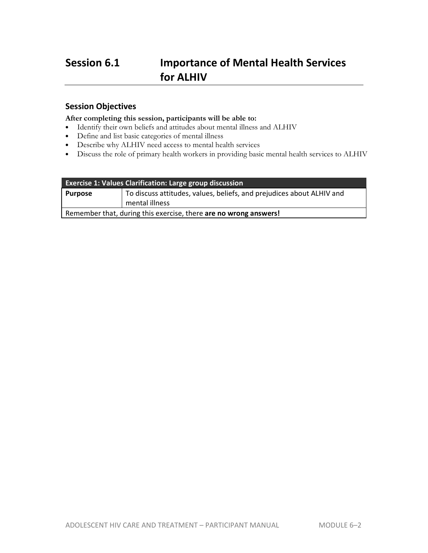# **Session 6.1 Importance of Mental Health Services for ALHIV**

### **Session Objectives**

#### **After completing this session, participants will be able to:**

- Identify their own beliefs and attitudes about mental illness and ALHIV
- Define and list basic categories of mental illness
- Describe why ALHIV need access to mental health services
- Discuss the role of primary health workers in providing basic mental health services to ALHIV

| <b>Exercise 1: Values Clarification: Large group discussion</b>                    |                |  |  |
|------------------------------------------------------------------------------------|----------------|--|--|
| To discuss attitudes, values, beliefs, and prejudices about ALHIV and<br>  Purpose |                |  |  |
|                                                                                    | mental illness |  |  |
| Remember that, during this exercise, there are no wrong answers!                   |                |  |  |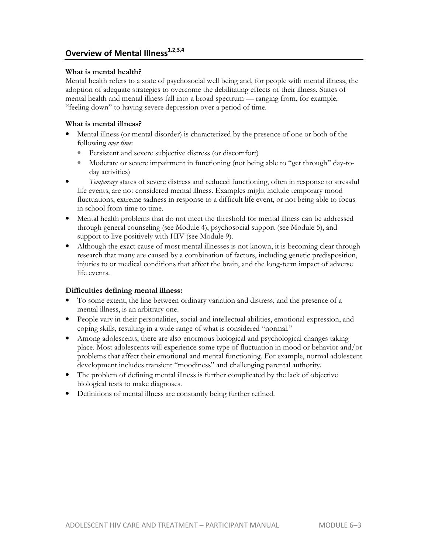### **Overview of Mental Illness1,2,3,4**

#### **What is mental health?**

Mental health refers to a state of psychosocial well being and, for people with mental illness, the adoption of adequate strategies to overcome the debilitating effects of their illness. States of mental health and mental illness fall into a broad spectrum — ranging from, for example, "feeling down" to having severe depression over a period of time.

#### **What is mental illness?**

- Mental illness (or mental disorder) is characterized by the presence of one or both of the following *over time*:
	- Persistent and severe subjective distress (or discomfort)
	- Moderate or severe impairment in functioning (not being able to "get through" day-today activities)
- *Temporary* states of severe distress and reduced functioning, often in response to stressful life events, are not considered mental illness. Examples might include temporary mood fluctuations, extreme sadness in response to a difficult life event, or not being able to focus in school from time to time.
- Mental health problems that do not meet the threshold for mental illness can be addressed through general counseling (see Module 4), psychosocial support (see Module 5), and support to live positively with HIV (see Module 9).
- Although the exact cause of most mental illnesses is not known, it is becoming clear through research that many are caused by a combination of factors, including genetic predisposition, injuries to or medical conditions that affect the brain, and the long-term impact of adverse life events.

#### **Difficulties defining mental illness:**

- To some extent, the line between ordinary variation and distress, and the presence of a mental illness, is an arbitrary one.
- People vary in their personalities, social and intellectual abilities, emotional expression, and coping skills, resulting in a wide range of what is considered "normal."
- Among adolescents, there are also enormous biological and psychological changes taking place. Most adolescents will experience some type of fluctuation in mood or behavior and/or problems that affect their emotional and mental functioning. For example, normal adolescent development includes transient "moodiness" and challenging parental authority.
- The problem of defining mental illness is further complicated by the lack of objective biological tests to make diagnoses.
- Definitions of mental illness are constantly being further refined.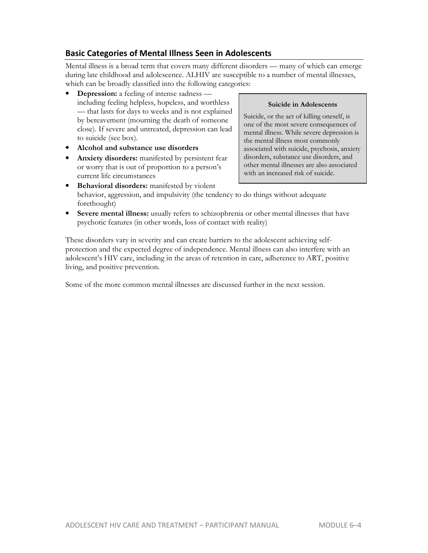# **Basic Categories of Mental Illness Seen in Adolescents**

Mental illness is a broad term that covers many different disorders — many of which can emerge during late childhood and adolescence. ALHIV are susceptible to a number of mental illnesses, which can be broadly classified into the following categories:

- **Depression:** a feeling of intense sadness including feeling helpless, hopeless, and worthless — that lasts for days to weeks and is not explained by bereavement (mourning the death of someone close). If severe and untreated, depression can lead to suicide (see box).
- **Alcohol and substance use disorders**
- **Anxiety disorders:** manifested by persistent fear or worry that is out of proportion to a person's current life circumstances
- **Behavioral disorders:** manifested by violent behavior, aggression, and impulsivity (the tendency to do things without adequate forethought)
- **Severe mental illness:** usually refers to schizophrenia or other mental illnesses that have psychotic features (in other words, loss of contact with reality)

These disorders vary in severity and can create barriers to the adolescent achieving selfprotection and the expected degree of independence. Mental illness can also interfere with an adolescent's HIV care, including in the areas of retention in care, adherence to ART, positive living, and positive prevention.

Some of the more common mental illnesses are discussed further in the next session.

#### **Suicide in Adolescents**

Suicide, or the act of killing oneself, is one of the most severe consequences of mental illness. While severe depression is the mental illness most commonly associated with suicide, psychosis, anxiety disorders, substance use disorders, and other mental illnesses are also associated with an increased risk of suicide.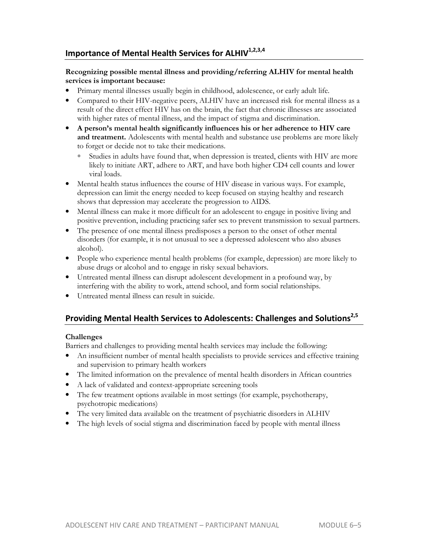# **Importance of Mental Health Services for ALHIV1,2,3,4**

#### **Recognizing possible mental illness and providing/referring ALHIV for mental health services is important because:**

- Primary mental illnesses usually begin in childhood, adolescence, or early adult life.
- Compared to their HIV-negative peers, ALHIV have an increased risk for mental illness as a result of the direct effect HIV has on the brain, the fact that chronic illnesses are associated with higher rates of mental illness, and the impact of stigma and discrimination.
- **A person's mental health significantly influences his or her adherence to HIV care and treatment.** Adolescents with mental health and substance use problems are more likely to forget or decide not to take their medications.
	- Studies in adults have found that, when depression is treated, clients with HIV are more likely to initiate ART, adhere to ART, and have both higher CD4 cell counts and lower viral loads.
- Mental health status influences the course of HIV disease in various ways. For example, depression can limit the energy needed to keep focused on staying healthy and research shows that depression may accelerate the progression to AIDS.
- Mental illness can make it more difficult for an adolescent to engage in positive living and positive prevention, including practicing safer sex to prevent transmission to sexual partners.
- The presence of one mental illness predisposes a person to the onset of other mental disorders (for example, it is not unusual to see a depressed adolescent who also abuses alcohol).
- People who experience mental health problems (for example, depression) are more likely to abuse drugs or alcohol and to engage in risky sexual behaviors.
- Untreated mental illness can disrupt adolescent development in a profound way, by interfering with the ability to work, attend school, and form social relationships.
- Untreated mental illness can result in suicide.

# **Providing Mental Health Services to Adolescents: Challenges and Solutions2,5**

#### **Challenges**

Barriers and challenges to providing mental health services may include the following:

- An insufficient number of mental health specialists to provide services and effective training and supervision to primary health workers
- The limited information on the prevalence of mental health disorders in African countries
- A lack of validated and context-appropriate screening tools
- The few treatment options available in most settings (for example, psychotherapy, psychotropic medications)
- The very limited data available on the treatment of psychiatric disorders in ALHIV
- The high levels of social stigma and discrimination faced by people with mental illness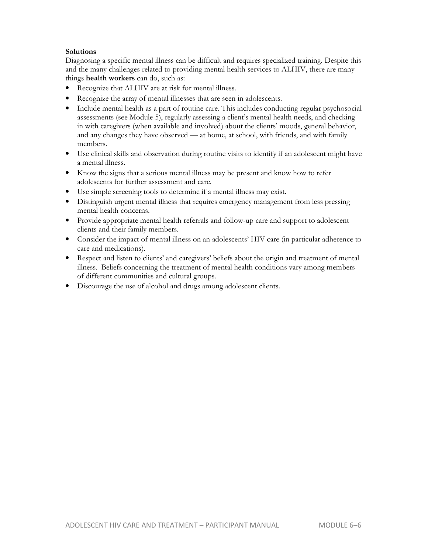#### **Solutions**

Diagnosing a specific mental illness can be difficult and requires specialized training. Despite this and the many challenges related to providing mental health services to ALHIV, there are many things **health workers** can do, such as:

- Recognize that ALHIV are at risk for mental illness.
- Recognize the array of mental illnesses that are seen in adolescents.
- Include mental health as a part of routine care. This includes conducting regular psychosocial assessments (see Module 5), regularly assessing a client's mental health needs, and checking in with caregivers (when available and involved) about the clients' moods, general behavior, and any changes they have observed — at home, at school, with friends, and with family members.
- Use clinical skills and observation during routine visits to identify if an adolescent might have a mental illness.
- Know the signs that a serious mental illness may be present and know how to refer adolescents for further assessment and care.
- Use simple screening tools to determine if a mental illness may exist.
- Distinguish urgent mental illness that requires emergency management from less pressing mental health concerns.
- Provide appropriate mental health referrals and follow-up care and support to adolescent clients and their family members.
- Consider the impact of mental illness on an adolescents' HIV care (in particular adherence to care and medications).
- Respect and listen to clients' and caregivers' beliefs about the origin and treatment of mental illness. Beliefs concerning the treatment of mental health conditions vary among members of different communities and cultural groups.
- Discourage the use of alcohol and drugs among adolescent clients.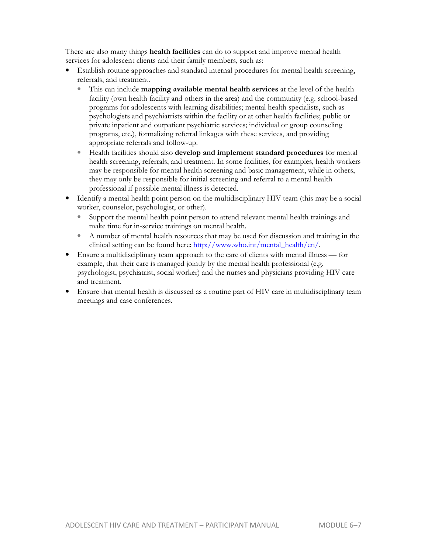There are also many things **health facilities** can do to support and improve mental health services for adolescent clients and their family members, such as:

- Establish routine approaches and standard internal procedures for mental health screening, referrals, and treatment.
	- This can include **mapping available mental health services** at the level of the health facility (own health facility and others in the area) and the community (e.g. school-based programs for adolescents with learning disabilities; mental health specialists, such as psychologists and psychiatrists within the facility or at other health facilities; public or private inpatient and outpatient psychiatric services; individual or group counseling programs, etc.), formalizing referral linkages with these services, and providing appropriate referrals and follow-up.
	- Health facilities should also **develop and implement standard procedures** for mental health screening, referrals, and treatment. In some facilities, for examples, health workers may be responsible for mental health screening and basic management, while in others, they may only be responsible for initial screening and referral to a mental health professional if possible mental illness is detected.
- Identify a mental health point person on the multidisciplinary HIV team (this may be a social worker, counselor, psychologist, or other).
	- Support the mental health point person to attend relevant mental health trainings and make time for in-service trainings on mental health.
	- A number of mental health resources that may be used for discussion and training in the clinical setting can be found here: http://www.who.int/mental\_health/en/.
- Ensure a multidisciplinary team approach to the care of clients with mental illness for example, that their care is managed jointly by the mental health professional (e.g. psychologist, psychiatrist, social worker) and the nurses and physicians providing HIV care and treatment.
- Ensure that mental health is discussed as a routine part of HIV care in multidisciplinary team meetings and case conferences.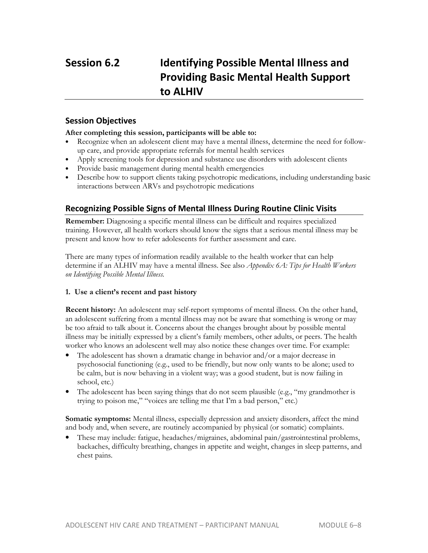# **Session 6.2 Identifying Possible Mental Illness and Providing Basic Mental Health Support to ALHIV**

### **Session Objectives**

#### **After completing this session, participants will be able to:**

- Recognize when an adolescent client may have a mental illness, determine the need for followup care, and provide appropriate referrals for mental health services
- Apply screening tools for depression and substance use disorders with adolescent clients
- Provide basic management during mental health emergencies
- Describe how to support clients taking psychotropic medications, including understanding basic interactions between ARVs and psychotropic medications

### **Recognizing Possible Signs of Mental Illness During Routine Clinic Visits**

**Remember:** Diagnosing a specific mental illness can be difficult and requires specialized training. However, all health workers should know the signs that a serious mental illness may be present and know how to refer adolescents for further assessment and care.

There are many types of information readily available to the health worker that can help determine if an ALHIV may have a mental illness. See also *Appendix 6A: Tips for Health Workers on Identifying Possible Mental Illness.*

#### **1. Use a client's recent and past history**

**Recent history:** An adolescent may self-report symptoms of mental illness. On the other hand, an adolescent suffering from a mental illness may not be aware that something is wrong or may be too afraid to talk about it. Concerns about the changes brought about by possible mental illness may be initially expressed by a client's family members, other adults, or peers. The health worker who knows an adolescent well may also notice these changes over time. For example:

- The adolescent has shown a dramatic change in behavior and/or a major decrease in psychosocial functioning (e.g., used to be friendly, but now only wants to be alone; used to be calm, but is now behaving in a violent way; was a good student, but is now failing in school, etc.)
- The adolescent has been saying things that do not seem plausible (e.g., "my grandmother is trying to poison me," "voices are telling me that I'm a bad person," etc.)

**Somatic symptoms:** Mental illness, especially depression and anxiety disorders, affect the mind and body and, when severe, are routinely accompanied by physical (or somatic) complaints.

• These may include: fatigue, headaches/migraines, abdominal pain/gastrointestinal problems, backaches, difficulty breathing, changes in appetite and weight, changes in sleep patterns, and chest pains.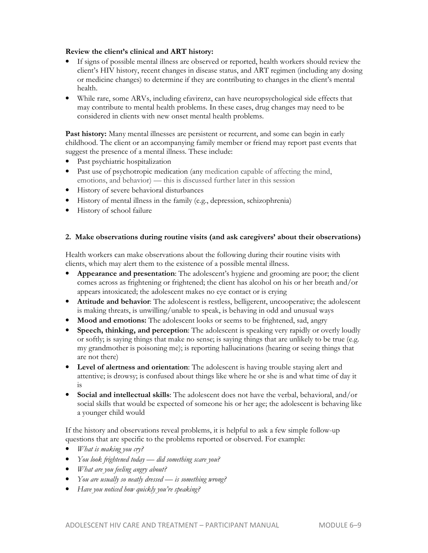#### **Review the client's clinical and ART history:**

- If signs of possible mental illness are observed or reported, health workers should review the client's HIV history, recent changes in disease status, and ART regimen (including any dosing or medicine changes) to determine if they are contributing to changes in the client's mental health.
- While rare, some ARVs, including efavirenz, can have neuropsychological side effects that may contribute to mental health problems. In these cases, drug changes may need to be considered in clients with new onset mental health problems.

Past history: Many mental illnesses are persistent or recurrent, and some can begin in early childhood. The client or an accompanying family member or friend may report past events that suggest the presence of a mental illness. These include:

- Past psychiatric hospitalization
- Past use of psychotropic medication (any medication capable of affecting the mind, emotions, and behavior) — this is discussed further later in this session
- History of severe behavioral disturbances
- History of mental illness in the family (e.g., depression, schizophrenia)
- History of school failure

#### **2. Make observations during routine visits (and ask caregivers' about their observations)**

Health workers can make observations about the following during their routine visits with clients, which may alert them to the existence of a possible mental illness.

- **Appearance and presentation**: The adolescent's hygiene and grooming are poor; the client comes across as frightening or frightened; the client has alcohol on his or her breath and/or appears intoxicated; the adolescent makes no eye contact or is crying
- **Attitude and behavior**: The adolescent is restless, belligerent, uncooperative; the adolescent is making threats, is unwilling/unable to speak, is behaving in odd and unusual ways
- **Mood and emotions:** The adolescent looks or seems to be frightened, sad, angry
- **Speech, thinking, and perception**: The adolescent is speaking very rapidly or overly loudly or softly; is saying things that make no sense; is saying things that are unlikely to be true (e.g. my grandmother is poisoning me); is reporting hallucinations (hearing or seeing things that are not there)
- **Level of alertness and orientation**: The adolescent is having trouble staying alert and attentive; is drowsy; is confused about things like where he or she is and what time of day it is
- **Social and intellectual skills**: The adolescent does not have the verbal, behavioral, and/or social skills that would be expected of someone his or her age; the adolescent is behaving like a younger child would

If the history and observations reveal problems, it is helpful to ask a few simple follow-up questions that are specific to the problems reported or observed. For example:

- *What is making you cry?*
- *You look frightened today did something scare you?*
- *What are you feeling angry about?*
- *You are usually so neatly dressed is something wrong?*
- *Have you noticed how quickly you're speaking?*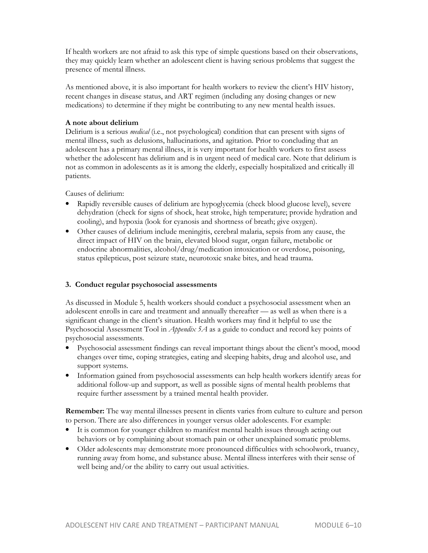If health workers are not afraid to ask this type of simple questions based on their observations, they may quickly learn whether an adolescent client is having serious problems that suggest the presence of mental illness.

As mentioned above, it is also important for health workers to review the client's HIV history, recent changes in disease status, and ART regimen (including any dosing changes or new medications) to determine if they might be contributing to any new mental health issues.

#### **A note about delirium**

Delirium is a serious *medical* (i.e., not psychological) condition that can present with signs of mental illness, such as delusions, hallucinations, and agitation. Prior to concluding that an adolescent has a primary mental illness, it is very important for health workers to first assess whether the adolescent has delirium and is in urgent need of medical care. Note that delirium is not as common in adolescents as it is among the elderly, especially hospitalized and critically ill patients.

Causes of delirium:

- Rapidly reversible causes of delirium are hypoglycemia (check blood glucose level), severe dehydration (check for signs of shock, heat stroke, high temperature; provide hydration and cooling), and hypoxia (look for cyanosis and shortness of breath; give oxygen).
- Other causes of delirium include meningitis, cerebral malaria, sepsis from any cause, the direct impact of HIV on the brain, elevated blood sugar, organ failure, metabolic or endocrine abnormalities, alcohol/drug/medication intoxication or overdose, poisoning, status epilepticus, post seizure state, neurotoxic snake bites, and head trauma.

#### **3. Conduct regular psychosocial assessments**

As discussed in Module 5, health workers should conduct a psychosocial assessment when an adolescent enrolls in care and treatment and annually thereafter — as well as when there is a significant change in the client's situation. Health workers may find it helpful to use the Psychosocial Assessment Tool in *Appendix 5A* as a guide to conduct and record key points of psychosocial assessments.

- Psychosocial assessment findings can reveal important things about the client's mood, mood changes over time, coping strategies, eating and sleeping habits, drug and alcohol use, and support systems.
- Information gained from psychosocial assessments can help health workers identify areas for additional follow-up and support, as well as possible signs of mental health problems that require further assessment by a trained mental health provider.

**Remember:** The way mental illnesses present in clients varies from culture to culture and person to person. There are also differences in younger versus older adolescents. For example:

- It is common for younger children to manifest mental health issues through acting out behaviors or by complaining about stomach pain or other unexplained somatic problems.
- Older adolescents may demonstrate more pronounced difficulties with schoolwork, truancy, running away from home, and substance abuse. Mental illness interferes with their sense of well being and/or the ability to carry out usual activities.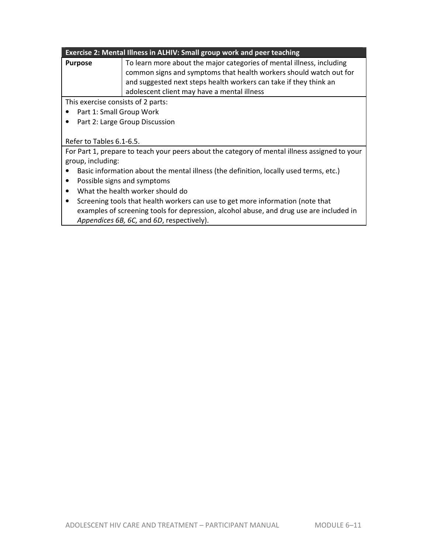#### **Exercise 2: Mental Illness in ALHIV: Small group work and peer teaching**

| <b>Purpose</b> | To learn more about the major categories of mental illness, including |  |  |  |  |  |  |
|----------------|-----------------------------------------------------------------------|--|--|--|--|--|--|
|                | common signs and symptoms that health workers should watch out for    |  |  |  |  |  |  |
|                | and suggested next steps health workers can take if they think an     |  |  |  |  |  |  |
|                | adolescent client may have a mental illness                           |  |  |  |  |  |  |

This exercise consists of 2 parts:

- Part 1: Small Group Work
- Part 2: Large Group Discussion

#### Refer to Tables 6.1-6.5.

For Part 1, prepare to teach your peers about the category of mental illness assigned to your group, including:

- Basic information about the mental illness (the definition, locally used terms, etc.)
- Possible signs and symptoms
- What the health worker should do
- Screening tools that health workers can use to get more information (note that examples of screening tools for depression, alcohol abuse, and drug use are included in *Appendices 6B, 6C,* and *6D*, respectively).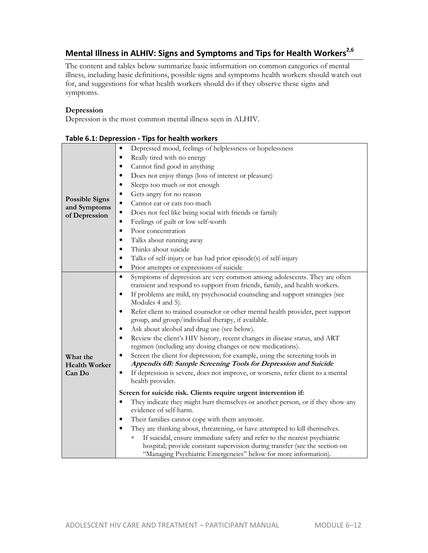# **Mental Illness in ALHIV: Signs and Symptoms and Tips for Health Workers2,6**

The content and tables below summarize basic information on common categories of mental illness, including basic definitions, possible signs and symptoms health workers should watch out for, and suggestions for what health workers should do if they observe these signs and symptoms.

#### **Depression**

Depression is the most common mental illness seen in ALHIV.

| Depressed mood, feelings of helplessness or hopelessness                                                                                                                                                                                                                                                                                                                                                                                                                                                                                                                                                                                                                                                                                                                                                                                                                                                                            |
|-------------------------------------------------------------------------------------------------------------------------------------------------------------------------------------------------------------------------------------------------------------------------------------------------------------------------------------------------------------------------------------------------------------------------------------------------------------------------------------------------------------------------------------------------------------------------------------------------------------------------------------------------------------------------------------------------------------------------------------------------------------------------------------------------------------------------------------------------------------------------------------------------------------------------------------|
| Really tired with no energy<br>$\bullet$                                                                                                                                                                                                                                                                                                                                                                                                                                                                                                                                                                                                                                                                                                                                                                                                                                                                                            |
| Cannot find good in anything<br>٠                                                                                                                                                                                                                                                                                                                                                                                                                                                                                                                                                                                                                                                                                                                                                                                                                                                                                                   |
| Does not enjoy things (loss of interest or pleasure)                                                                                                                                                                                                                                                                                                                                                                                                                                                                                                                                                                                                                                                                                                                                                                                                                                                                                |
| Sleeps too much or not enough<br>٠                                                                                                                                                                                                                                                                                                                                                                                                                                                                                                                                                                                                                                                                                                                                                                                                                                                                                                  |
| Gets angry for no reason<br>$\bullet$                                                                                                                                                                                                                                                                                                                                                                                                                                                                                                                                                                                                                                                                                                                                                                                                                                                                                               |
| Cannot eat or eats too much<br>$\bullet$                                                                                                                                                                                                                                                                                                                                                                                                                                                                                                                                                                                                                                                                                                                                                                                                                                                                                            |
| Does not feel like being social with friends or family<br>$\bullet$                                                                                                                                                                                                                                                                                                                                                                                                                                                                                                                                                                                                                                                                                                                                                                                                                                                                 |
| Feelings of guilt or low self-worth<br>$\bullet$                                                                                                                                                                                                                                                                                                                                                                                                                                                                                                                                                                                                                                                                                                                                                                                                                                                                                    |
| Poor concentration<br>$\bullet$                                                                                                                                                                                                                                                                                                                                                                                                                                                                                                                                                                                                                                                                                                                                                                                                                                                                                                     |
| Talks about running away<br>$\bullet$                                                                                                                                                                                                                                                                                                                                                                                                                                                                                                                                                                                                                                                                                                                                                                                                                                                                                               |
| Thinks about suicide<br>٠                                                                                                                                                                                                                                                                                                                                                                                                                                                                                                                                                                                                                                                                                                                                                                                                                                                                                                           |
| Talks of self-injury or has had prior episode(s) of self-injury<br>$\bullet$                                                                                                                                                                                                                                                                                                                                                                                                                                                                                                                                                                                                                                                                                                                                                                                                                                                        |
| Prior attempts or expressions of suicide<br>$\bullet$                                                                                                                                                                                                                                                                                                                                                                                                                                                                                                                                                                                                                                                                                                                                                                                                                                                                               |
| Symptoms of depression are very common among adolescents. They are often<br>$\bullet$<br>transient and respond to support from friends, family, and health workers.<br>If problems are mild, try psychosocial counseling and support strategies (see<br>$\bullet$<br>Modules 4 and 5).<br>Refer client to trained counselor or other mental health provider, peer support<br>$\bullet$<br>group, and group/individual therapy, if available.<br>Ask about alcohol and drug use (see below).<br>٠<br>Review the client's HIV history, recent changes in disease status, and ART<br>٠<br>regimen (including any dosing changes or new medications).<br>Screen the client for depression; for example, using the screening tools in<br>$\bullet$<br>Appendix 6B: Sample Screening Tools for Depression and Suicide<br>If depression is severe, does not improve, or worsens, refer client to a mental<br>$\bullet$<br>health provider. |
| Screen for suicide risk. Clients require urgent intervention if:<br>They indicate they might hurt themselves or another person, or if they show any<br>$\bullet$<br>evidence of self-harm.<br>Their families cannot cope with them anymore.<br>$\bullet$<br>They are thinking about, threatening, or have attempted to kill themselves.<br>$\bullet$<br>If suicidal, ensure immediate safety and refer to the nearest psychiatric<br>hospital; provide constant supervision during transfer (see the section on<br>"Managing Psychiatric Emergencies" below for more information).                                                                                                                                                                                                                                                                                                                                                  |
|                                                                                                                                                                                                                                                                                                                                                                                                                                                                                                                                                                                                                                                                                                                                                                                                                                                                                                                                     |

|  | Table 6.1: Depression - Tips for health workers |  |  |  |
|--|-------------------------------------------------|--|--|--|
|--|-------------------------------------------------|--|--|--|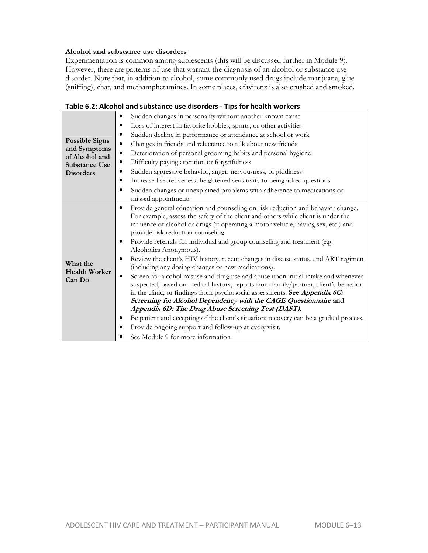#### **Alcohol and substance use disorders**

Experimentation is common among adolescents (this will be discussed further in Module 9). However, there are patterns of use that warrant the diagnosis of an alcohol or substance use disorder. Note that, in addition to alcohol, some commonly used drugs include marijuana, glue (sniffing), chat, and methamphetamines. In some places, efavirenz is also crushed and smoked.

| <b>Possible Signs</b><br>and Symptoms<br>of Alcohol and<br>Substance Use<br><b>Disorders</b> | Sudden changes in personality without another known cause<br>٠<br>Loss of interest in favorite hobbies, sports, or other activities<br>Sudden decline in performance or attendance at school or work<br>٠<br>Changes in friends and reluctance to talk about new friends<br>$\bullet$<br>Deterioration of personal grooming habits and personal hygiene<br>$\bullet$                                                                                                                                                                                                                                                                                                                                                                                                                                                                                                                                                                                                                                                                                                                                                                                           |
|----------------------------------------------------------------------------------------------|----------------------------------------------------------------------------------------------------------------------------------------------------------------------------------------------------------------------------------------------------------------------------------------------------------------------------------------------------------------------------------------------------------------------------------------------------------------------------------------------------------------------------------------------------------------------------------------------------------------------------------------------------------------------------------------------------------------------------------------------------------------------------------------------------------------------------------------------------------------------------------------------------------------------------------------------------------------------------------------------------------------------------------------------------------------------------------------------------------------------------------------------------------------|
|                                                                                              | Difficulty paying attention or forgetfulness<br>٠<br>Sudden aggressive behavior, anger, nervousness, or giddiness<br>٠<br>Increased secretiveness, heightened sensitivity to being asked questions<br>Sudden changes or unexplained problems with adherence to medications or<br>$\bullet$                                                                                                                                                                                                                                                                                                                                                                                                                                                                                                                                                                                                                                                                                                                                                                                                                                                                     |
|                                                                                              | missed appointments                                                                                                                                                                                                                                                                                                                                                                                                                                                                                                                                                                                                                                                                                                                                                                                                                                                                                                                                                                                                                                                                                                                                            |
| What the<br><b>Health Worker</b><br>Can Do                                                   | Provide general education and counseling on risk reduction and behavior change.<br>$\bullet$<br>For example, assess the safety of the client and others while client is under the<br>influence of alcohol or drugs (if operating a motor vehicle, having sex, etc.) and<br>provide risk reduction counseling.<br>Provide referrals for individual and group counseling and treatment (e.g.<br>Alcoholics Anonymous).<br>Review the client's HIV history, recent changes in disease status, and ART regimen<br>٠<br>(including any dosing changes or new medications).<br>Screen for alcohol misuse and drug use and abuse upon initial intake and whenever<br>$\bullet$<br>suspected, based on medical history, reports from family/partner, client's behavior<br>in the clinic, or findings from psychosocial assessments. See Appendix 6C:<br>Screening for Alcohol Dependency with the CAGE Questionnaire and<br>Appendix 6D: The Drug Abuse Screening Test (DAST).<br>Be patient and accepting of the client's situation; recovery can be a gradual process.<br>Provide ongoing support and follow-up at every visit.<br>See Module 9 for more information |

#### **Table 6.2: Alcohol and substance use disorders - Tips for health workers**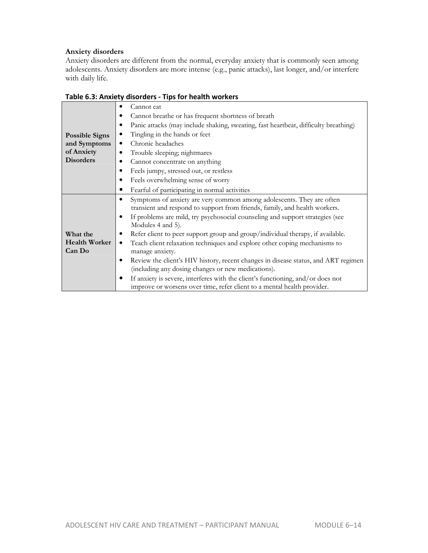#### **Anxiety disorders**

Anxiety disorders are different from the normal, everyday anxiety that is commonly seen among adolescents. Anxiety disorders are more intense (e.g., panic attacks), last longer, and/or interfere with daily life.

|                                                                         | GISOTUCIS TIPS TOT HUGHET HOTKUIS                                                                                                                                                                                                                                                                                                                                                                                                                                                                                                                                                                                                                                                                                                                                         |
|-------------------------------------------------------------------------|---------------------------------------------------------------------------------------------------------------------------------------------------------------------------------------------------------------------------------------------------------------------------------------------------------------------------------------------------------------------------------------------------------------------------------------------------------------------------------------------------------------------------------------------------------------------------------------------------------------------------------------------------------------------------------------------------------------------------------------------------------------------------|
| <b>Possible Signs</b><br>and Symptoms<br>of Anxiety<br><b>Disorders</b> | Cannot eat<br>٠<br>Cannot breathe or has frequent shortness of breath<br>Panic attacks (may include shaking, sweating, fast heartbeat, difficulty breathing)<br>٠<br>Tingling in the hands or feet<br>٠<br>Chronic headaches<br>٠<br>Trouble sleeping; nightmares<br>٠<br>Cannot concentrate on anything<br>Feels jumpy, stressed out, or restless                                                                                                                                                                                                                                                                                                                                                                                                                        |
|                                                                         | Feels overwhelming sense of worry<br>٠                                                                                                                                                                                                                                                                                                                                                                                                                                                                                                                                                                                                                                                                                                                                    |
|                                                                         | Fearful of participating in normal activities                                                                                                                                                                                                                                                                                                                                                                                                                                                                                                                                                                                                                                                                                                                             |
| What the<br><b>Health Worker</b><br>Can Do                              | Symptoms of anxiety are very common among adolescents. They are often<br>٠<br>transient and respond to support from friends, family, and health workers.<br>If problems are mild, try psychosocial counseling and support strategies (see<br>٠<br>Modules 4 and 5).<br>Refer client to peer support group and group/individual therapy, if available.<br>Teach client relaxation techniques and explore other coping mechanisms to<br>٠<br>manage anxiety.<br>Review the client's HIV history, recent changes in disease status, and ART regimen<br>٠<br>(including any dosing changes or new medications).<br>If anxiety is severe, interferes with the client's functioning, and/or does not<br>improve or worsens over time, refer client to a mental health provider. |

#### **Table 6.3: Anxiety disorders - Tips for health workers**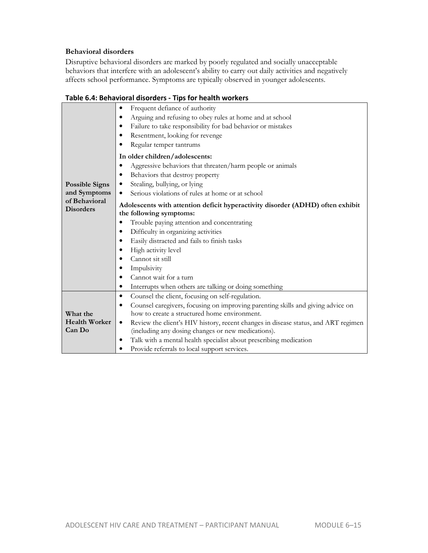#### **Behavioral disorders**

Disruptive behavioral disorders are marked by poorly regulated and socially unacceptable behaviors that interfere with an adolescent's ability to carry out daily activities and negatively affects school performance. Symptoms are typically observed in younger adolescents.

|                                                                                                 | rable 0.4. Deliavioral disorders - Tips for Health Workers                                      |  |  |  |  |
|-------------------------------------------------------------------------------------------------|-------------------------------------------------------------------------------------------------|--|--|--|--|
|                                                                                                 | Frequent defiance of authority<br>$\bullet$                                                     |  |  |  |  |
|                                                                                                 | Arguing and refusing to obey rules at home and at school<br>$\bullet$                           |  |  |  |  |
|                                                                                                 | Failure to take responsibility for bad behavior or mistakes                                     |  |  |  |  |
|                                                                                                 | Resentment, looking for revenge<br>٠                                                            |  |  |  |  |
|                                                                                                 | Regular temper tantrums                                                                         |  |  |  |  |
|                                                                                                 | In older children/adolescents:                                                                  |  |  |  |  |
| Aggressive behaviors that threaten/harm people or animals                                       |                                                                                                 |  |  |  |  |
|                                                                                                 | Behaviors that destroy property<br>٠                                                            |  |  |  |  |
| <b>Possible Signs</b>                                                                           | Stealing, bullying, or lying<br>$\bullet$                                                       |  |  |  |  |
| and Symptoms                                                                                    | Serious violations of rules at home or at school<br>٠                                           |  |  |  |  |
| of Behavioral<br>Adolescents with attention deficit hyperactivity disorder (ADHD) often exhibit |                                                                                                 |  |  |  |  |
| <b>Disorders</b>                                                                                | the following symptoms:                                                                         |  |  |  |  |
|                                                                                                 | Trouble paying attention and concentrating<br>$\bullet$                                         |  |  |  |  |
|                                                                                                 | Difficulty in organizing activities<br>٠                                                        |  |  |  |  |
|                                                                                                 | Easily distracted and fails to finish tasks<br>٠                                                |  |  |  |  |
|                                                                                                 | High activity level                                                                             |  |  |  |  |
|                                                                                                 | Cannot sit still                                                                                |  |  |  |  |
|                                                                                                 | Impulsivity                                                                                     |  |  |  |  |
|                                                                                                 | Cannot wait for a turn                                                                          |  |  |  |  |
|                                                                                                 | Interrupts when others are talking or doing something<br>٠                                      |  |  |  |  |
|                                                                                                 | Counsel the client, focusing on self-regulation.<br>$\bullet$                                   |  |  |  |  |
|                                                                                                 | Counsel caregivers, focusing on improving parenting skills and giving advice on<br>٠            |  |  |  |  |
| What the                                                                                        | how to create a structured home environment.                                                    |  |  |  |  |
| <b>Health Worker</b>                                                                            | Review the client's HIV history, recent changes in disease status, and ART regimen<br>$\bullet$ |  |  |  |  |
| Can Do                                                                                          | (including any dosing changes or new medications).                                              |  |  |  |  |
|                                                                                                 | Talk with a mental health specialist about prescribing medication                               |  |  |  |  |
|                                                                                                 | Provide referrals to local support services.<br>$\bullet$                                       |  |  |  |  |

### **Table 6.4: Behavioral disorders - Tips for health workers**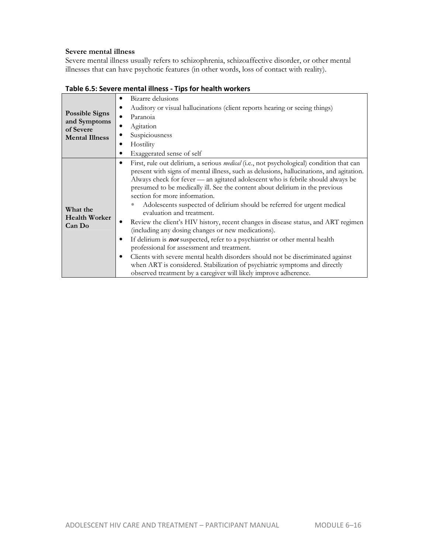#### **Severe mental illness**

Severe mental illness usually refers to schizophrenia, schizoaffective disorder, or other mental illnesses that can have psychotic features (in other words, loss of contact with reality).

| <b>Possible Signs</b><br>and Symptoms<br>of Severe<br><b>Mental Illness</b> | Bizarre delusions<br>٠<br>Auditory or visual hallucinations (client reports hearing or seeing things)<br>Paranoia<br>٠<br>Agitation<br>٠<br>Suspiciousness<br>Hostility<br>٠<br>Exaggerated sense of self                                                                                                                                                                                                                                                                                                                                                                                                                                                                                                                                                                                                                                                                                                                                                                                                                                 |
|-----------------------------------------------------------------------------|-------------------------------------------------------------------------------------------------------------------------------------------------------------------------------------------------------------------------------------------------------------------------------------------------------------------------------------------------------------------------------------------------------------------------------------------------------------------------------------------------------------------------------------------------------------------------------------------------------------------------------------------------------------------------------------------------------------------------------------------------------------------------------------------------------------------------------------------------------------------------------------------------------------------------------------------------------------------------------------------------------------------------------------------|
| What the<br><b>Health Worker</b><br>Can Do                                  | First, rule out delinum, a senous <i>medical</i> (i.e., not psychological) condition that can<br>٠<br>present with signs of mental illness, such as delusions, hallucinations, and agitation.<br>Always check for fever — an agitated adolescent who is febrile should always be<br>presumed to be medically ill. See the content about delirium in the previous<br>section for more information.<br>Adolescents suspected of delirium should be referred for urgent medical<br>evaluation and treatment.<br>Review the client's HIV history, recent changes in disease status, and ART regimen<br>(including any dosing changes or new medications).<br>If delirium is <b>not</b> suspected, refer to a psychiatrist or other mental health<br>٠<br>professional for assessment and treatment.<br>Clients with severe mental health disorders should not be discriminated against<br>٠<br>when ART is considered. Stabilization of psychiatric symptoms and directly<br>observed treatment by a caregiver will likely improve adherence. |

**Table 6.5: Severe mental illness - Tips for health workers**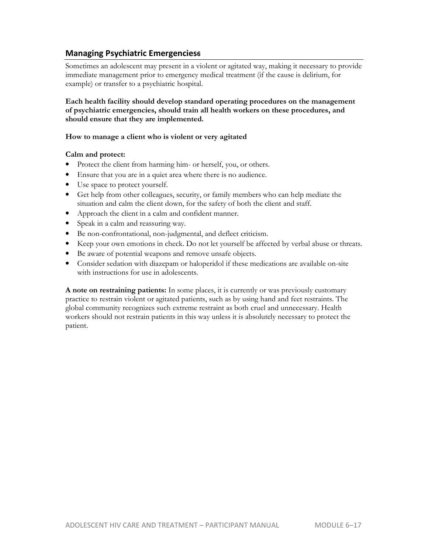# **Managing Psychiatric Emergencies6**

Sometimes an adolescent may present in a violent or agitated way, making it necessary to provide immediate management prior to emergency medical treatment (if the cause is delirium, for example) or transfer to a psychiatric hospital.

#### **Each health facility should develop standard operating procedures on the management of psychiatric emergencies, should train all health workers on these procedures, and should ensure that they are implemented.**

#### **How to manage a client who is violent or very agitated**

#### **Calm and protect:**

- Protect the client from harming him- or herself, you, or others.
- Ensure that you are in a quiet area where there is no audience.
- Use space to protect yourself.
- Get help from other colleagues, security, or family members who can help mediate the situation and calm the client down, for the safety of both the client and staff.
- Approach the client in a calm and confident manner.
- Speak in a calm and reassuring way.
- Be non-confrontational, non-judgmental, and deflect criticism.
- Keep your own emotions in check. Do not let yourself be affected by verbal abuse or threats.
- Be aware of potential weapons and remove unsafe objects.
- Consider sedation with diazepam or haloperidol if these medications are available on-site with instructions for use in adolescents.

**A note on restraining patients:** In some places, it is currently or was previously customary practice to restrain violent or agitated patients, such as by using hand and feet restraints. The global community recognizes such extreme restraint as both cruel and unnecessary. Health workers should not restrain patients in this way unless it is absolutely necessary to protect the patient.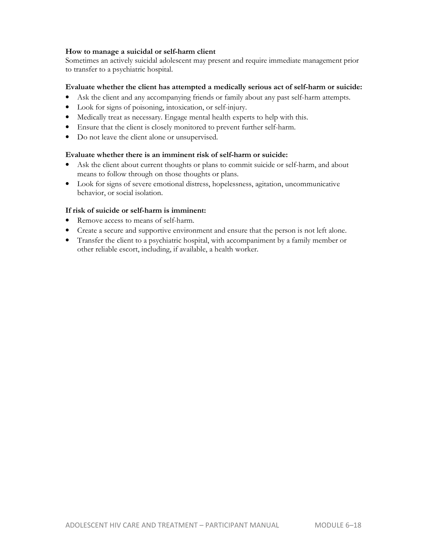#### **How to manage a suicidal or self-harm client**

Sometimes an actively suicidal adolescent may present and require immediate management prior to transfer to a psychiatric hospital.

#### **Evaluate whether the client has attempted a medically serious act of self-harm or suicide:**

- Ask the client and any accompanying friends or family about any past self-harm attempts.
- Look for signs of poisoning, intoxication, or self-injury.
- Medically treat as necessary. Engage mental health experts to help with this.
- Ensure that the client is closely monitored to prevent further self-harm.
- Do not leave the client alone or unsupervised.

#### **Evaluate whether there is an imminent risk of self-harm or suicide:**

- Ask the client about current thoughts or plans to commit suicide or self-harm, and about means to follow through on those thoughts or plans.
- Look for signs of severe emotional distress, hopelessness, agitation, uncommunicative behavior, or social isolation.

#### **If risk of suicide or self-harm is imminent:**

- Remove access to means of self-harm.
- Create a secure and supportive environment and ensure that the person is not left alone.
- Transfer the client to a psychiatric hospital, with accompaniment by a family member or other reliable escort, including, if available, a health worker.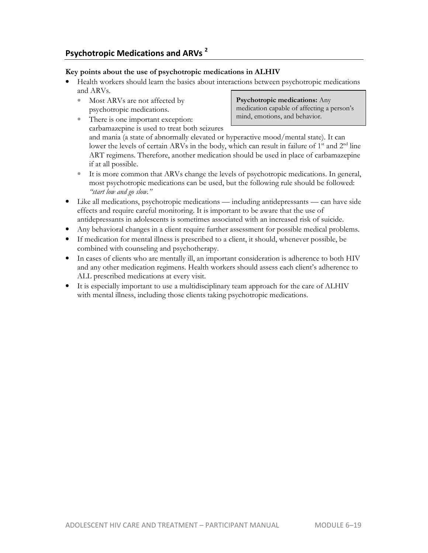# **Psychotropic Medications and ARVs <sup>2</sup>**

#### **Key points about the use of psychotropic medications in ALHIV**

- Health workers should learn the basics about interactions between psychotropic medications and ARVs.
	- Most ARVs are not affected by psychotropic medications.

**Psychotropic medications:** Any medication capable of affecting a person's mind, emotions, and behavior.

There is one important exception: carbamazepine is used to treat both seizures

and mania (a state of abnormally elevated or hyperactive mood/mental state). It can lower the levels of certain ARVs in the body, which can result in failure of  $1<sup>st</sup>$  and  $2<sup>nd</sup>$  line ART regimens. Therefore, another medication should be used in place of carbamazepine if at all possible.

- It is more common that ARVs change the levels of psychotropic medications. In general, most psychotropic medications can be used, but the following rule should be followed: *"start low and go slow."*
- Like all medications, psychotropic medications including antidepressants can have side effects and require careful monitoring. It is important to be aware that the use of antidepressants in adolescents is sometimes associated with an increased risk of suicide.
- Any behavioral changes in a client require further assessment for possible medical problems.
- If medication for mental illness is prescribed to a client, it should, whenever possible, be combined with counseling and psychotherapy.
- In cases of clients who are mentally ill, an important consideration is adherence to both HIV and any other medication regimens. Health workers should assess each client's adherence to ALL prescribed medications at every visit.
- It is especially important to use a multidisciplinary team approach for the care of ALHIV with mental illness, including those clients taking psychotropic medications.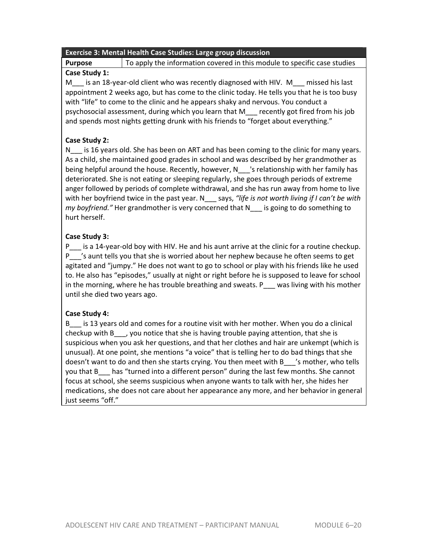# **Exercise 3: Mental Health Case Studies: Large group discussion**

**Purpose** To apply the information covered in this module to specific case studies

### **Case Study 1:**

M is an 18-year-old client who was recently diagnosed with HIV. M missed his last appointment 2 weeks ago, but has come to the clinic today. He tells you that he is too busy with "life" to come to the clinic and he appears shaky and nervous. You conduct a psychosocial assessment, during which you learn that M\_\_\_ recently got fired from his job and spends most nights getting drunk with his friends to "forget about everything."

### **Case Study 2:**

N<sub>T</sub> is 16 years old. She has been on ART and has been coming to the clinic for many years. As a child, she maintained good grades in school and was described by her grandmother as being helpful around the house. Recently, however, N<sub>\_\_\_</sub>'s relationship with her family has deteriorated. She is not eating or sleeping regularly, she goes through periods of extreme anger followed by periods of complete withdrawal, and she has run away from home to live with her boyfriend twice in the past year. N says, "life is not worth living if I can't be with *my boyfriend."* Her grandmother is very concerned that N\_\_\_ is going to do something to hurt herself.

### **Case Study 3:**

P\_\_\_ is a 14-year-old boy with HIV. He and his aunt arrive at the clinic for a routine checkup. P\_\_\_'s aunt tells you that she is worried about her nephew because he often seems to get agitated and "jumpy." He does not want to go to school or play with his friends like he used to. He also has "episodes," usually at night or right before he is supposed to leave for school in the morning, where he has trouble breathing and sweats. P  $\blacksquare$  was living with his mother until she died two years ago.

### **Case Study 4:**

B\_\_\_ is 13 years old and comes for a routine visit with her mother. When you do a clinical checkup with B\_\_\_, you notice that she is having trouble paying attention, that she is suspicious when you ask her questions, and that her clothes and hair are unkempt (which is unusual). At one point, she mentions "a voice" that is telling her to do bad things that she doesn't want to do and then she starts crying. You then meet with B\_\_\_'s mother, who tells you that B\_\_\_ has "turned into a different person" during the last few months. She cannot focus at school, she seems suspicious when anyone wants to talk with her, she hides her medications, she does not care about her appearance any more, and her behavior in general just seems "off."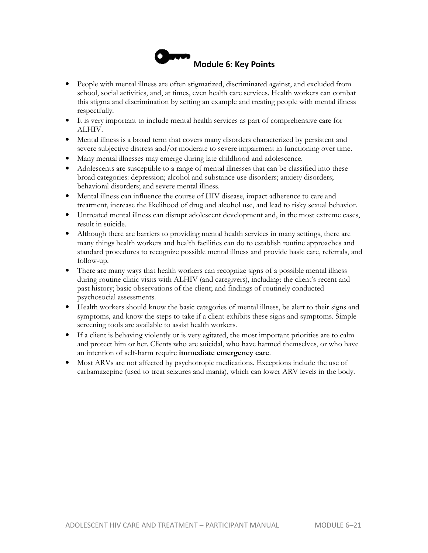

- People with mental illness are often stigmatized, discriminated against, and excluded from school, social activities, and, at times, even health care services. Health workers can combat this stigma and discrimination by setting an example and treating people with mental illness respectfully.
- It is very important to include mental health services as part of comprehensive care for ALHIV.
- Mental illness is a broad term that covers many disorders characterized by persistent and severe subjective distress and/or moderate to severe impairment in functioning over time.
- Many mental illnesses may emerge during late childhood and adolescence.
- Adolescents are susceptible to a range of mental illnesses that can be classified into these broad categories: depression; alcohol and substance use disorders; anxiety disorders; behavioral disorders; and severe mental illness.
- Mental illness can influence the course of HIV disease, impact adherence to care and treatment, increase the likelihood of drug and alcohol use, and lead to risky sexual behavior.
- Untreated mental illness can disrupt adolescent development and, in the most extreme cases, result in suicide.
- Although there are barriers to providing mental health services in many settings, there are many things health workers and health facilities can do to establish routine approaches and standard procedures to recognize possible mental illness and provide basic care, referrals, and follow-up.
- There are many ways that health workers can recognize signs of a possible mental illness during routine clinic visits with ALHIV (and caregivers), including: the client's recent and past history; basic observations of the client; and findings of routinely conducted psychosocial assessments.
- Health workers should know the basic categories of mental illness, be alert to their signs and symptoms, and know the steps to take if a client exhibits these signs and symptoms. Simple screening tools are available to assist health workers.
- If a client is behaving violently or is very agitated, the most important priorities are to calm and protect him or her. Clients who are suicidal, who have harmed themselves, or who have an intention of self-harm require **immediate emergency care**.
- Most ARVs are not affected by psychotropic medications. Exceptions include the use of carbamazepine (used to treat seizures and mania), which can lower ARV levels in the body.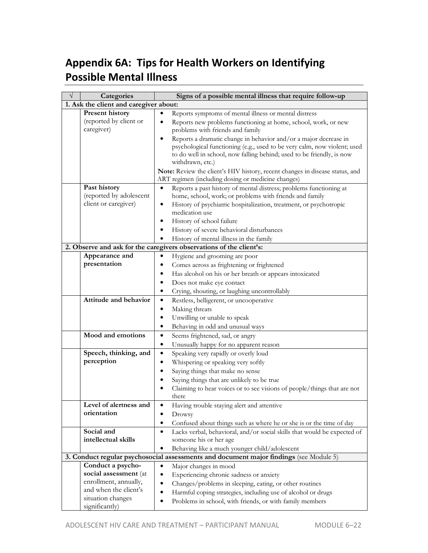# **Appendix 6A: Tips for Health Workers on Identifying Possible Mental Illness**

| V | Categories                                                                      | Signs of a possible mental illness that require follow-up                              |  |  |  |  |
|---|---------------------------------------------------------------------------------|----------------------------------------------------------------------------------------|--|--|--|--|
|   | 1. Ask the client and caregiver about:                                          |                                                                                        |  |  |  |  |
|   | <b>Present history</b><br>Reports symptoms of mental illness or mental distress |                                                                                        |  |  |  |  |
|   | (reported by client or                                                          | Reports new problems functioning at home, school, work, or new<br>٠                    |  |  |  |  |
|   | caregiver)                                                                      | problems with friends and family                                                       |  |  |  |  |
|   |                                                                                 | Reports a dramatic change in behavior and/or a major decrease in<br>$\bullet$          |  |  |  |  |
|   |                                                                                 | psychological functioning (e.g., used to be very calm, now violent; used               |  |  |  |  |
|   |                                                                                 | to do well in school, now falling behind; used to be friendly, is now                  |  |  |  |  |
|   |                                                                                 | withdrawn, etc.)                                                                       |  |  |  |  |
|   |                                                                                 | Note: Review the client's HIV history, recent changes in disease status, and           |  |  |  |  |
|   |                                                                                 | ART regimen (including dosing or medicine changes)                                     |  |  |  |  |
|   | Past history                                                                    | Reports a past history of mental distress; problems functioning at<br>$\bullet$        |  |  |  |  |
|   | (reported by adolescent                                                         | home, school, work; or problems with friends and family                                |  |  |  |  |
|   | client or caregiver)                                                            | History of psychiatric hospitalization, treatment, or psychotropic<br>٠                |  |  |  |  |
|   |                                                                                 | medication use                                                                         |  |  |  |  |
|   |                                                                                 | History of school failure<br>٠                                                         |  |  |  |  |
|   |                                                                                 | History of severe behavioral disturbances                                              |  |  |  |  |
|   |                                                                                 | History of mental illness in the family                                                |  |  |  |  |
|   |                                                                                 | 2. Observe and ask for the caregivers observations of the client's:                    |  |  |  |  |
|   | Appearance and                                                                  | Hygiene and grooming are poor                                                          |  |  |  |  |
|   | presentation                                                                    | Comes across as frightening or frightened                                              |  |  |  |  |
|   |                                                                                 | Has alcohol on his or her breath or appears intoxicated                                |  |  |  |  |
|   |                                                                                 | Does not make eye contact                                                              |  |  |  |  |
|   |                                                                                 | Crying, shouting, or laughing uncontrollably<br>٠                                      |  |  |  |  |
|   | Attitude and behavior                                                           | Restless, belligerent, or uncooperative<br>$\bullet$                                   |  |  |  |  |
|   |                                                                                 | Making threats<br>$\bullet$                                                            |  |  |  |  |
|   |                                                                                 | Unwilling or unable to speak<br>٠                                                      |  |  |  |  |
|   |                                                                                 | Behaving in odd and unusual ways<br>$\bullet$                                          |  |  |  |  |
|   | Mood and emotions                                                               | $\bullet$<br>Seems frightened, sad, or angry                                           |  |  |  |  |
|   |                                                                                 | Unusually happy for no apparent reason<br>$\bullet$                                    |  |  |  |  |
|   | Speech, thinking, and                                                           | $\bullet$<br>Speaking very rapidly or overly loud                                      |  |  |  |  |
|   | perception                                                                      | Whispering or speaking very softly<br>٠                                                |  |  |  |  |
|   |                                                                                 | Saying things that make no sense<br>$\bullet$                                          |  |  |  |  |
|   |                                                                                 | Saying things that are unlikely to be true                                             |  |  |  |  |
|   |                                                                                 |                                                                                        |  |  |  |  |
|   |                                                                                 | Claiming to hear voices or to see visions of people/things that are not<br>there       |  |  |  |  |
|   | Level of alertness and                                                          | Having trouble staying alert and attentive                                             |  |  |  |  |
|   | orientation                                                                     | $\bullet$<br>Drowsy                                                                    |  |  |  |  |
|   |                                                                                 |                                                                                        |  |  |  |  |
|   | Social and                                                                      | Confused about things such as where he or she is or the time of day<br>$\bullet$       |  |  |  |  |
|   | intellectual skills                                                             | Lacks verbal, behavioral, and/or social skills that would be expected of<br>$\bullet$  |  |  |  |  |
|   |                                                                                 | someone his or her age                                                                 |  |  |  |  |
|   |                                                                                 | Behaving like a much younger child/adolescent<br>$\bullet$                             |  |  |  |  |
|   |                                                                                 | 3. Conduct regular psychosocial assessments and document major findings (see Module 5) |  |  |  |  |
|   | Conduct a psycho-<br>social assessment (at                                      | Major changes in mood<br>$\bullet$                                                     |  |  |  |  |
|   | enrollment, annually,                                                           | Experiencing chronic sadness or anxiety<br>$\bullet$                                   |  |  |  |  |
|   | and when the client's                                                           | Changes/problems in sleeping, eating, or other routines<br>$\bullet$                   |  |  |  |  |
|   | situation changes                                                               | Harmful coping strategies, including use of alcohol or drugs<br>$\bullet$              |  |  |  |  |
|   | significantly)                                                                  | Problems in school, with friends, or with family members<br>$\bullet$                  |  |  |  |  |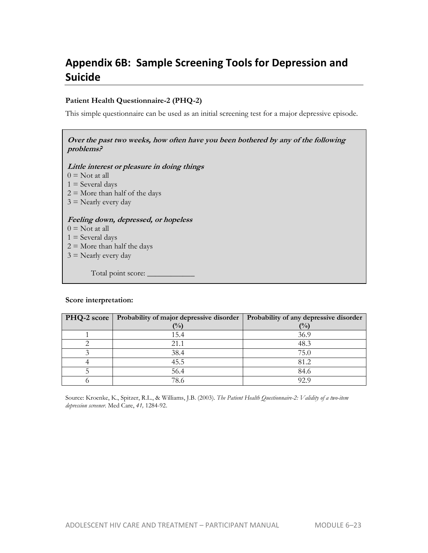# **Appendix 6B: Sample Screening Tools for Depression and Suicide**

#### **Patient Health Questionnaire-2 (PHQ-2)**

This simple questionnaire can be used as an initial screening test for a major depressive episode.

#### **Over the past two weeks, how often have you been bothered by any of the following problems?**

**Little interest or pleasure in doing things** 

 $0 =$  Not at all

 $1 =$  Several days

- $2 =$  More than half of the days
- $3$  = Nearly every day

#### **Feeling down, depressed, or hopeless**

- $0 =$  Not at all
- $1 =$  Several days
- $2 =$  More than half the days
- $3$  = Nearly every day

Total point score: \_

#### **Score interpretation:**

| PHQ-2 score | Probability of major depressive disorder | Probability of any depressive disorder |  |  |
|-------------|------------------------------------------|----------------------------------------|--|--|
|             | (%)                                      | (%)                                    |  |  |
|             | 15.4                                     | 36.9                                   |  |  |
|             | 21.1                                     | 48.3                                   |  |  |
|             | 38.4                                     | 75.0                                   |  |  |
|             | 45.5                                     | 81.2                                   |  |  |
|             | 56.4                                     | 84.6                                   |  |  |
|             | 78.6                                     | 92 9                                   |  |  |

Source: Kroenke, K., Spitzer, R.L., & Williams, J.B. (2003). *The Patient Health Questionnaire-2: Validity of a two-item depression screener.* Med Care, *41,* 1284-92.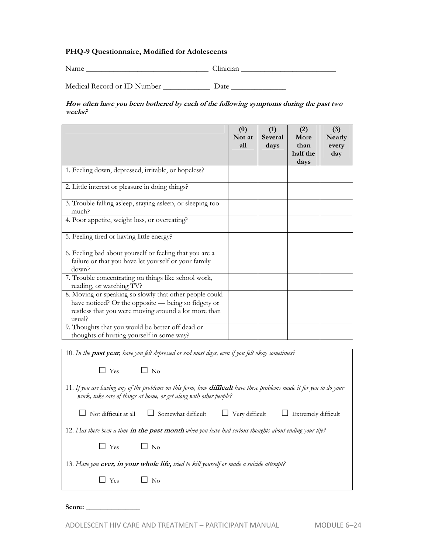#### **PHQ-9 Questionnaire, Modified for Adolescents**

Name \_\_\_\_\_\_\_\_\_\_\_\_\_\_\_\_\_\_\_\_\_\_\_\_\_\_\_\_\_\_\_ Clinician \_\_\_\_\_\_\_\_\_\_\_\_\_\_\_\_\_\_\_\_\_\_\_\_ Medical Record or ID Number \_\_\_\_\_\_\_\_\_\_\_\_\_\_\_ Date

**How often have you been bothered by each of the following symptoms during the past two weeks?**

|                                                                                                                                                                                     | (0)<br>Not at<br>all | (1)<br><b>Several</b><br>days | (2)<br>More<br>than<br>half the<br>days | (3)<br><b>Nearly</b><br>every<br>day |
|-------------------------------------------------------------------------------------------------------------------------------------------------------------------------------------|----------------------|-------------------------------|-----------------------------------------|--------------------------------------|
| 1. Feeling down, depressed, irritable, or hopeless?                                                                                                                                 |                      |                               |                                         |                                      |
| 2. Little interest or pleasure in doing things?                                                                                                                                     |                      |                               |                                         |                                      |
| 3. Trouble falling asleep, staying asleep, or sleeping too<br>much?                                                                                                                 |                      |                               |                                         |                                      |
| 4. Poor appetite, weight loss, or overeating?                                                                                                                                       |                      |                               |                                         |                                      |
| 5. Feeling tired or having little energy?                                                                                                                                           |                      |                               |                                         |                                      |
| 6. Feeling bad about yourself or feeling that you are a<br>failure or that you have let yourself or your family<br>down?                                                            |                      |                               |                                         |                                      |
| 7. Trouble concentrating on things like school work,<br>reading, or watching TV?                                                                                                    |                      |                               |                                         |                                      |
| 8. Moving or speaking so slowly that other people could<br>have noticed? Or the opposite — being so fidgety or<br>restless that you were moving around a lot more than<br>$u$ sual? |                      |                               |                                         |                                      |
| 9. Thoughts that you would be better off dead or<br>thoughts of hurting yourself in some way?                                                                                       |                      |                               |                                         |                                      |

10. *In the* **past year***, have you felt depressed or sad most days, even if you felt okay sometimes?*  $\Box$  Yes  $\Box$  No 11. *If you are having any of the problems on this form, how* **difficult** *have these problems made it for you to do your work, take care of things at home, or get along with other people?* □ Not difficult at all □ Somewhat difficult □ Very difficult □ Extremely difficult 12. *Has there been a time* **in the past month** *when you have had serious thoughts about ending your life?*  $\square$  Yes  $\square$  No 13. *Have you* **ever, in your whole life,** *tried to kill yourself or made a suicide attempt?*   $\Box$  Yes  $\Box$  No

Score: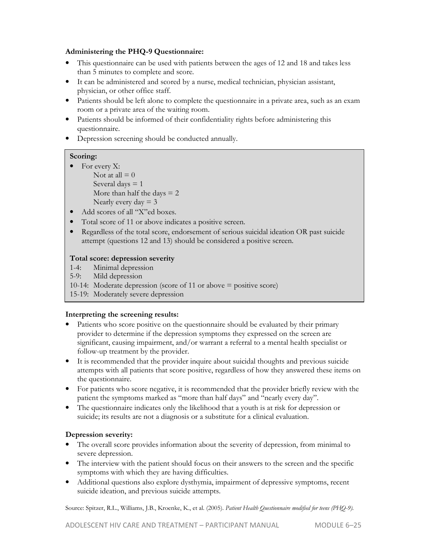#### **Administering the PHQ-9 Questionnaire:**

- This questionnaire can be used with patients between the ages of 12 and 18 and takes less than 5 minutes to complete and score.
- It can be administered and scored by a nurse, medical technician, physician assistant, physician, or other office staff.
- Patients should be left alone to complete the questionnaire in a private area, such as an exam room or a private area of the waiting room.
- Patients should be informed of their confidentiality rights before administering this questionnaire.
- Depression screening should be conducted annually.

#### **Scoring:**

- For every X: Not at all  $= 0$ Several days  $= 1$ More than half the days  $= 2$ Nearly every  $day = 3$
- Add scores of all "X"ed boxes.
- Total score of 11 or above indicates a positive screen.
- Regardless of the total score, endorsement of serious suicidal ideation OR past suicide attempt (questions 12 and 13) should be considered a positive screen.

#### **Total score: depression severity**

- 1-4: Minimal depression<br>5-9: Mild depression
- Mild depression
- 10-14: Moderate depression (score of 11 or above = positive score)
- 15-19: Moderately severe depression

#### **Interpreting the screening results:**

- Patients who score positive on the questionnaire should be evaluated by their primary provider to determine if the depression symptoms they expressed on the screen are significant, causing impairment, and/or warrant a referral to a mental health specialist or follow-up treatment by the provider.
- It is recommended that the provider inquire about suicidal thoughts and previous suicide attempts with all patients that score positive, regardless of how they answered these items on the questionnaire.
- For patients who score negative, it is recommended that the provider briefly review with the patient the symptoms marked as "more than half days" and "nearly every day".
- The questionnaire indicates only the likelihood that a youth is at risk for depression or suicide; its results are not a diagnosis or a substitute for a clinical evaluation.

#### **Depression severity:**

- The overall score provides information about the severity of depression, from minimal to severe depression.
- The interview with the patient should focus on their answers to the screen and the specific symptoms with which they are having difficulties.
- Additional questions also explore dysthymia, impairment of depressive symptoms, recent suicide ideation, and previous suicide attempts.

Source: Spitzer, R.L., Williams, J.B., Kroenke, K., et al. (2005). *Patient Health Questionnaire modified for teens (PHQ-9).*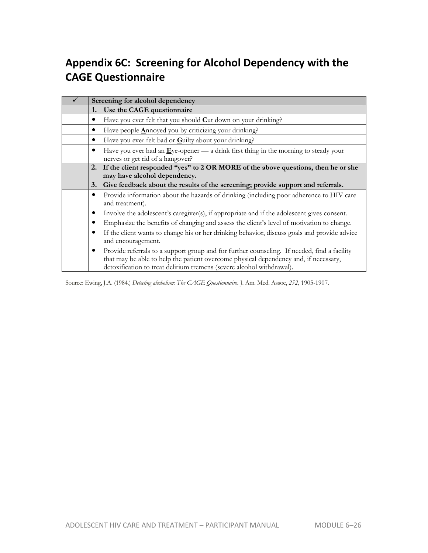# **Appendix 6C: Screening for Alcohol Dependency with the CAGE Questionnaire**

| Screening for alcohol dependency |                                                                                                                                                                                                                                                              |
|----------------------------------|--------------------------------------------------------------------------------------------------------------------------------------------------------------------------------------------------------------------------------------------------------------|
| 1.                               | Use the CAGE questionnaire                                                                                                                                                                                                                                   |
|                                  | Have you ever felt that you should $C$ ut down on your drinking?                                                                                                                                                                                             |
|                                  | Have people Annoyed you by criticizing your drinking?                                                                                                                                                                                                        |
|                                  | Have you ever felt bad or Guilty about your drinking?                                                                                                                                                                                                        |
| $\bullet$                        | Have you ever had an $E$ ye-opener — a drink first thing in the morning to steady your<br>nerves or get rid of a hangover?                                                                                                                                   |
| 2.                               | If the client responded "yes" to 2 OR MORE of the above questions, then he or she                                                                                                                                                                            |
|                                  | may have alcohol dependency.                                                                                                                                                                                                                                 |
| 3.                               | Give feedback about the results of the screening; provide support and referrals.                                                                                                                                                                             |
| $\bullet$                        | Provide information about the hazards of drinking (including poor adherence to HIV care<br>and treatment).                                                                                                                                                   |
| $\bullet$                        | Involve the adolescent's caregiver(s), if appropriate and if the adolescent gives consent.                                                                                                                                                                   |
|                                  | Emphasize the benefits of changing and assess the client's level of motivation to change.                                                                                                                                                                    |
| $\bullet$                        | If the client wants to change his or her drinking behavior, discuss goals and provide advice<br>and encouragement.                                                                                                                                           |
| $\bullet$                        | Provide referrals to a support group and for further counseling. If needed, find a facility<br>that may be able to help the patient overcome physical dependency and, if necessary,<br>detoxification to treat delirium tremens (severe alcohol withdrawal). |

Source: Ewing, J.A. (1984.) *Detecting alcoholism: The CAGE Questionnaire*. J. Am. Med. Assoc, *252,* 1905-1907.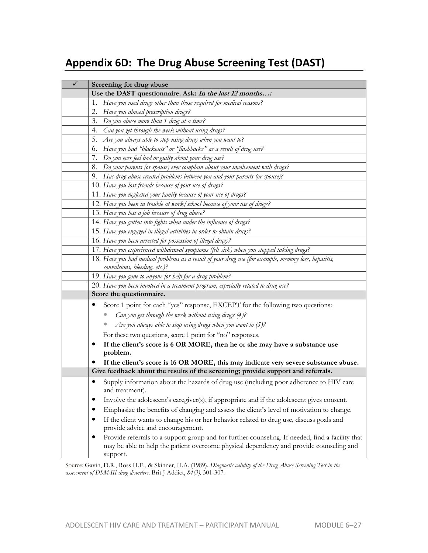# **Appendix 6D: The Drug Abuse Screening Test (DAST)**

| Screening for drug abuse                                                                                                                                                                                     |  |  |
|--------------------------------------------------------------------------------------------------------------------------------------------------------------------------------------------------------------|--|--|
| Use the DAST questionnaire. Ask: In the last 12 months:                                                                                                                                                      |  |  |
| Have you used drugs other than those required for medical reasons?<br>1.                                                                                                                                     |  |  |
| 2.<br>Have you abused prescription drugs?                                                                                                                                                                    |  |  |
| Do you abuse more than 1 drug at a time?<br>3.                                                                                                                                                               |  |  |
| 4.<br>Can you get through the week without using drugs?                                                                                                                                                      |  |  |
| 5.<br>Are you always able to stop using drugs when you want to?                                                                                                                                              |  |  |
| Have you had "blackouts" or "flashbacks" as a result of drug use?<br>6.                                                                                                                                      |  |  |
| Do you ever feel bad or guilty about your drug use?<br>7.                                                                                                                                                    |  |  |
| Do your parents (or spouse) ever complain about your involvement with drugs?<br>8.                                                                                                                           |  |  |
| 9. Has drug abuse created problems between you and your parents (or spouse)?                                                                                                                                 |  |  |
| 10. Have you lost friends because of your use of drugs?                                                                                                                                                      |  |  |
| 11. Have you neglected your family because of your use of drugs?                                                                                                                                             |  |  |
| 12. Have you been in trouble at work/school because of your use of drugs?                                                                                                                                    |  |  |
| 13. Have you lost a job because of drug abuse?                                                                                                                                                               |  |  |
| 14. Have you gotten into fights when under the influence of drugs?                                                                                                                                           |  |  |
| 15. Have you engaged in illegal activities in order to obtain drugs?                                                                                                                                         |  |  |
| 16. Have you been arrested for possession of illegal drugs?                                                                                                                                                  |  |  |
| 17. Have you experienced withdrawal symptoms (felt sick) when you stopped taking drugs?                                                                                                                      |  |  |
| 18. Have you had medical problems as a result of your drug use (for example, memory loss, hepatitis,                                                                                                         |  |  |
| convulsions, bleeding, etc.)?                                                                                                                                                                                |  |  |
| 19. Have you gone to anyone for help for a drug problem?                                                                                                                                                     |  |  |
| 20. Have you been involved in a treatment program, especially related to drug use?                                                                                                                           |  |  |
| Score the questionnaire.                                                                                                                                                                                     |  |  |
| Score 1 point for each "yes" response, EXCEPT for the following two questions:                                                                                                                               |  |  |
| Can you get through the week without using drugs (4)?                                                                                                                                                        |  |  |
| Are you always able to stop using drugs when you want to $(5)$ ?                                                                                                                                             |  |  |
| For these two questions, score 1 point for "no" responses.                                                                                                                                                   |  |  |
| If the client's score is 6 OR MORE, then he or she may have a substance use                                                                                                                                  |  |  |
| problem.                                                                                                                                                                                                     |  |  |
| If the client's score is 16 OR MORE, this may indicate very severe substance abuse.                                                                                                                          |  |  |
| Give feedback about the results of the screening; provide support and referrals.                                                                                                                             |  |  |
| Supply information about the hazards of drug use (including poor adherence to HIV care<br>and treatment).                                                                                                    |  |  |
| Involve the adolescent's caregiver(s), if appropriate and if the adolescent gives consent.                                                                                                                   |  |  |
| Emphasize the benefits of changing and assess the client's level of motivation to change.                                                                                                                    |  |  |
| If the client wants to change his or her behavior related to drug use, discuss goals and<br>provide advice and encouragement.                                                                                |  |  |
| Provide referrals to a support group and for further counseling. If needed, find a facility that<br>٠<br>may be able to help the patient overcome physical dependency and provide counseling and<br>support. |  |  |

Source: Gavin, D.R., Ross H.E., & Skinner, H.A. (1989). *Diagnostic validity of the Drug Abuse Screening Test in the assessment of DSM-III drug disorders*. Brit J Addict, *84(3),* 301-307.